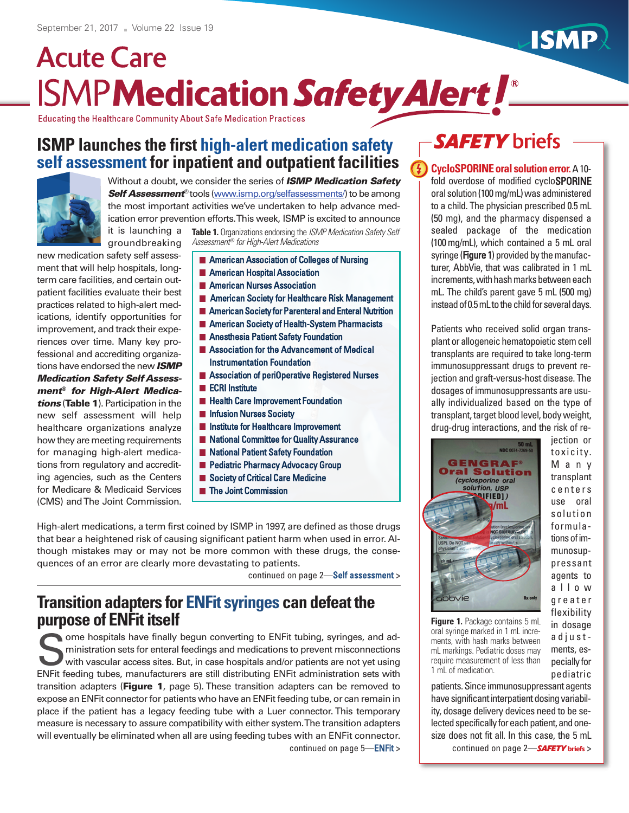# **Acute Care ISMPMedication Safety Alert !**

Educating the Healthcare Community About Safe Medication Practices

# **ISMP launches the first high-alert medication safety self assessment for inpatient and outpatient facilities**



Without a doubt, we consider the series of *ISMP Medication Safety* **Self Assessment**<sup>®</sup> tools (www.ismp.org/selfassessments/) to be among the most important activities we've undertaken to help advance medication error prevention efforts.This week, ISMP is excited to announce

it is launching a groundbreaking

new medication safety self assessment that will help hospitals, longterm care facilities, and certain outpatient facilities evaluate their best practices related to high-alert medications, identify opportunities for improvement, and track their experiences over time. Many key professional and accrediting organizations have endorsed the new *ISMP Medication Safety Self Assessment***®** *for High-Alert Medications* (**Table 1**). Participation in the new self assessment will help healthcare organizations analyze how they are meeting requirements for managing high-alert medications from regulatory and accrediting agencies, such as the Centers for Medicare & Medicaid Services (CMS) andThe Joint Commission.

- **Table 1.** Organizations endorsing the *ISMP Medication Safety Self Assessment ® for High-Alert Medications*
	- **American Association of Colleges of Nursing**
	- **American Hospital Association**
	- **American Nurses Association**
	- **American Society for Healthcare Risk Management**
	- **E** American Society for Parenteral and Enteral Nutrition
	- **E** American Society of Health-System Pharmacists
	- **Anesthesia Patient Safety Foundation**
	- **Association for the Advancement of Medical** Instrumentation Foundation
	- **Association of periOperative Registered Nurses**
	- **ECRI** Institute
	- **Health Care Improvement Foundation**
	- **Infusion Nurses Society**
	- **Institute for Healthcare Improvement**
	- **National Committee for Quality Assurance**
	- **National Patient Safety Foundation**
	- **Pediatric Pharmacy Advocacy Group**
	- Society of Critical Care Medicine
	- **The Joint Commission**

High-alert medications, a term first coined by ISMP in 1997, are defined as those drugs that bear a heightened risk of causing significant patient harm when used in error. Although mistakes may or may not be more common with these drugs, the consequences of an error are clearly more devastating to patients.

continued on page 2—Self assessment **>**

# **Transition adapters for ENFit syringes can defeat the purpose of ENFit itself**

Some hospitals have finally begun converting to ENFit tubing, syringes, and administration sets for enteral feedings and medications to prevent misconnections with vascular access sites. But, in case hospitals and/or patients are not yet using ENFit feeding tubes, manufacturers are still distributing ENFit administration sets with transition adapters (**Figure 1**, page 5). These transition adapters can be removed to expose an ENFit connector for patients who have an ENFit feeding tube, or can remain in place if the patient has a legacy feeding tube with a Luer connector. This temporary measure is necessary to assure compatibility with either system.The transition adapters will eventually be eliminated when all are using feeding tubes with an ENFit connector.

# **SAFETY** briefs

**CycloSPORINEoral solutionerror.**A10 fold overdose of modified cycloSPORINE oral solution (100 mg/mL) was administered to a child. The physician prescribed 0.5 mL (50 mg), and the pharmacy dispensed a sealed package of the medication (100mg/mL), which contained a 5 mL oral syringe (Figure 1) provided by the manufacturer, AbbVie, that was calibrated in 1 mL increments, with hash marks between each mL. The child's parent gave 5 mL (500 mg) instead of 0.5 mL to the child for several days.

Patients who received solid organ transplant or allogeneic hematopoietic stem cell transplants are required to take long-term immunosuppressant drugs to prevent rejection and graft-versus-host disease. The dosages of immunosuppressants are usually individualized based on the type of transplant, target blood level, body weight, drug-drug interactions, and the risk of re-



**Figure 1.** Package contains 5 mL oral syringe marked in 1 mL increments, with hash marks between mL markings. Pediatric doses may require measurement of less than

1 mL of medication.

jection or toxicity. M a n y transplant c e n t e r s use oral solution formulations of immunosuppressant agents to a l l o w g r e a t e r flexibility in dosage a d j u s t ments, especiallyfor pediatric

patients. Since immunosuppressant agents have significant interpatient dosing variability, dosage delivery devices need to be selected specifically for each patient, and onesize does not fit all. In this case, the 5 mL

continued on page 5—ENFit **>** continued on page 2—*SAFETY* **briefs >**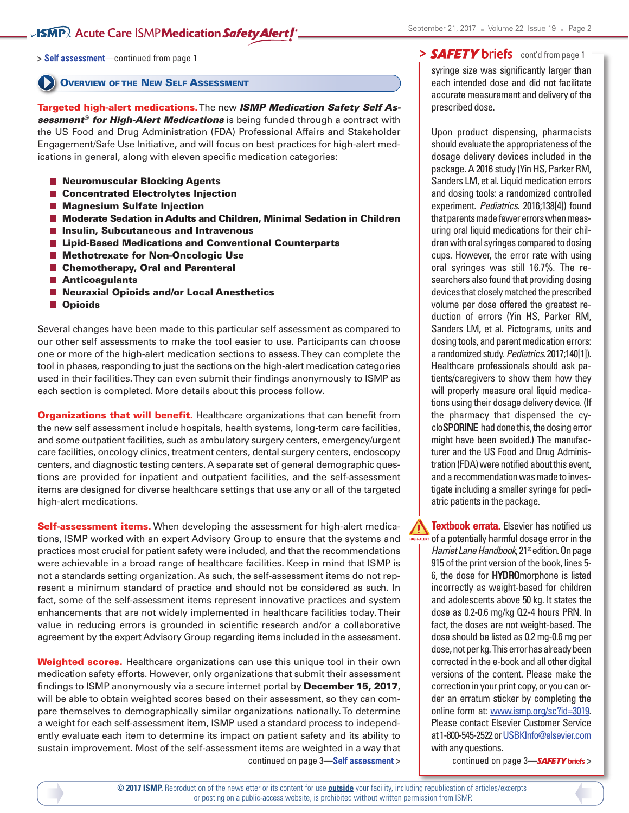# **JSMP** Acute Care ISMP**Medication Safety Alert**

**>** Self assessment—continued from page 1

#### **OVERVIEW OF THE NEW SELF ASSESSMENT**

**Targeted high-alert medications.**The new *ISMP Medication Safety Self Assessment® for High-Alert Medications* is being funded through a contract with the US Food and Drug Administration (FDA) Professional Affairs and Stakeholder Engagement/Safe Use Initiative, and will focus on best practices for high-alert medications in general, along with eleven specific medication categories:

- **Neuromuscular Blocking Agents**
- **Concentrated Electrolytes Injection**
- **Magnesium Sulfate Injection**
- **Moderate Sedation in Adults and Children, Minimal Sedation in Children**
- **Insulin, Subcutaneous and Intravenous**
- **Lipid-Based Medications and Conventional Counterparts**
- **Methotrexate for Non-Oncologic Use**
- **Chemotherapy, Oral and Parenteral**
- **Anticoagulants**
- **Neuraxial Opioids and/or Local Anesthetics**
- **Opioids**

Several changes have been made to this particular self assessment as compared to our other self assessments to make the tool easier to use. Participants can choose one or more of the high-alert medication sections to assess.They can complete the tool in phases, responding to just the sections on the high-alert medication categories used in their facilities.They can even submit their findings anonymously to ISMP as each section is completed. More details about this process follow.

**Organizations that will benefit.** Healthcare organizations that can benefit from the new self assessment include hospitals, health systems, long-term care facilities, and some outpatient facilities, such as ambulatory surgery centers, emergency/urgent care facilities, oncology clinics, treatment centers, dental surgery centers, endoscopy centers, and diagnostic testing centers. A separate set of general demographic questions are provided for inpatient and outpatient facilities, and the self-assessment items are designed for diverse healthcare settings that use any or all of the targeted high-alert medications.

**Self-assessment items.** When developing the assessment for high-alert medications, ISMP worked with an expert Advisory Group to ensure that the systems and practices most crucial for patient safety were included, and that the recommendations were achievable in a broad range of healthcare facilities. Keep in mind that ISMP is not a standards setting organization. As such, the self-assessment items do not represent a minimum standard of practice and should not be considered as such. In fact, some of the self-assessment items represent innovative practices and system enhancements that are not widely implemented in healthcare facilities today.Their value in reducing errors is grounded in scientific research and/or a collaborative agreement by the expert Advisory Group regarding items included in the assessment.

**Weighted scores.** Healthcare organizations can use this unique tool in their own medication safety efforts. However, only organizations that submit their assessment findings to ISMP anonymously via a secure internet portal by **December 15, 2017**, will be able to obtain weighted scores based on their assessment, so they can compare themselves to demographically similar organizations nationally.To determine a weight for each self-assessment item, ISMP used a standard process to independently evaluate each item to determine its impact on patient safety and its ability to sustain improvement. Most of the self-assessment items are weighted in a way that continued on page 3—Self assessment **>**

# > SAFETY briefs cont'd from page 1

syringe size was significantly larger than each intended dose and did not facilitate accurate measurement and delivery of the prescribed dose.

Upon product dispensing, pharmacists should evaluate the appropriateness of the dosage delivery devices included in the package. A 2016 study (Yin HS, Parker RM, Sanders LM, et al. Liquid medication errors and dosing tools: a randomized controlled experiment. *Pediatrics*. 2016;138[4]) found that parents made fewer errors when measuring oral liquid medications for their children with oral syringes compared to dosing cups. However, the error rate with using oral syringes was still 16.7%. The researchers also found that providing dosing devices that closely matched the prescribed volume per dose offered the greatest reduction of errors (Yin HS, Parker RM, Sanders LM, et al. Pictograms, units and dosing tools, and parent medication errors: a randomized study. Pediatrics. 2017;140[1]). Healthcare professionals should ask patients/caregivers to show them how they will properly measure oral liquid medications using their dosage delivery device. (If the pharmacy that dispensed the cycloSPORINE had done this, the dosing error might have been avoided.) The manufacturer and the US Food and Drug Administration (FDA) were notified about this event, and a recommendation was made to investigate including a smaller syringe for pediatric patients in the package.

**Textbook errata.** Elsevier has notified us **HIGH-ALERT** Of a potentially harmful dosage error in the Harriet Lane Handbook, 21<sup>st</sup> edition. On page 915 of the print version of the book, lines 5- 6, the dose for HYDROmorphone is listed incorrectly as weight-based for children and adolescents above 50 kg. It states the dose as 0.2-0.6 mg/kg Q2-4 hours PRN. In fact, the doses are not weight-based. The dose should be listed as 0.2 mg-0.6 mg per dose, not per kg. This error has already been corrected in the e-book and all other digital versions of the content. Please make the correction in your print copy, or you can order an erratum sticker by completing the online form at: www.ismp.org/sc?id=3019. Please contact Elsevier Customer Service at1-800-545-2522orUSBKInfo@elsevier.com with any questions.

continued on page 3—*SAFETY* **briefs >**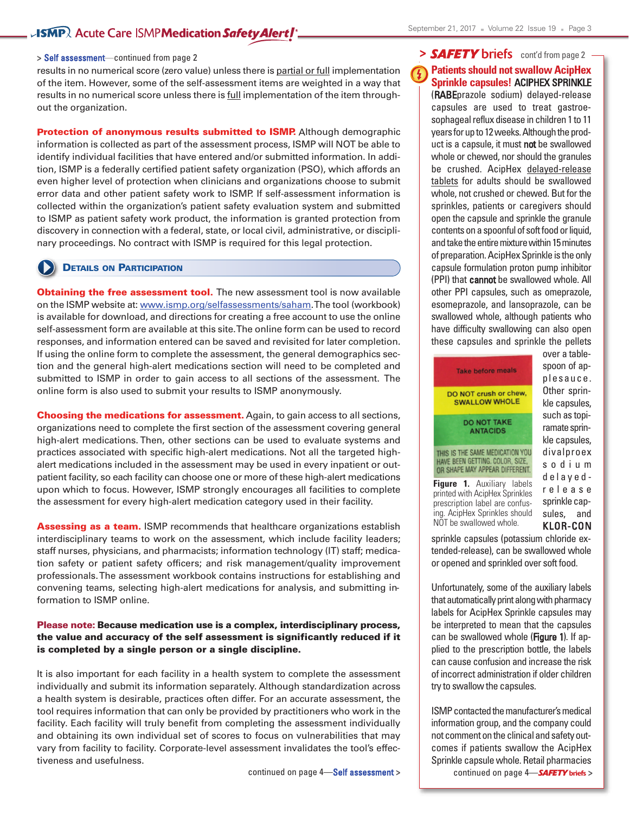# **JSMP** Acute Care ISMP**Medication Safety Alert!**

#### **>** Self assessment—continued from page 2

results in no numerical score (zero value) unless there is partial or full implementation of the item. However, some of the self-assessment items are weighted in a way that results in no numerical score unless there is full implementation of the item throughout the organization.

**Protection of anonymous results submitted to ISMP.** Although demographic information is collected as part of the assessment process, ISMP will NOT be able to identify individual facilities that have entered and/or submitted information. In addition, ISMP is a federally certified patient safety organization (PSO), which affords an even higher level of protection when clinicians and organizations choose to submit error data and other patient safety work to ISMP. If self-assessment information is collected within the organization's patient safety evaluation system and submitted to ISMP as patient safety work product, the information is granted protection from discovery in connection with a federal, state, or local civil, administrative, or disciplinary proceedings. No contract with ISMP is required for this legal protection.

#### **DETAILS ON PARTICIPATION**

**Obtaining the free assessment tool.** The new assessment tool is now available on the ISMP website at: www.ismp.org/selfassessments/saham.The tool (workbook) is available for download, and directions for creating a free account to use the online self-assessment form are available at this site.The online form can be used to record responses, and information entered can be saved and revisited for later completion. If using the online form to complete the assessment, the general demographics section and the general high-alert medications section will need to be completed and submitted to ISMP in order to gain access to all sections of the assessment. The online form is also used to submit your results to ISMP anonymously.

**Choosing the medications for assessment.** Again, to gain access to all sections, organizations need to complete the first section of the assessment covering general high-alert medications. Then, other sections can be used to evaluate systems and practices associated with specific high-alert medications. Not all the targeted highalert medications included in the assessment may be used in every inpatient or outpatient facility, so each facility can choose one or more of these high-alert medications upon which to focus. However, ISMP strongly encourages all facilities to complete the assessment for every high-alert medication category used in their facility.

**Assessing as a team.** ISMP recommends that healthcare organizations establish interdisciplinary teams to work on the assessment, which include facility leaders; staff nurses, physicians, and pharmacists; information technology (IT) staff; medication safety or patient safety officers; and risk management/quality improvement professionals.The assessment workbook contains instructions for establishing and convening teams, selecting high-alert medications for analysis, and submitting information to ISMP online.

#### **Please note: Because medication use is a complex, interdisciplinary process, the value and accuracy of the self assessment is significantly reduced if it is completed by a single person or a single discipline.**

It is also important for each facility in a health system to complete the assessment individually and submit its information separately. Although standardization across a health system is desirable, practices often differ. For an accurate assessment, the tool requires information that can only be provided by practitioners who work in the facility. Each facility will truly benefit from completing the assessment individually and obtaining its own individual set of scores to focus on vulnerabilities that may vary from facility to facility. Corporate-level assessment invalidates the tool's effectiveness and usefulness.

# **Patients should not swallow AcipHex Sprinkle capsules!** ACIPHEX SPRINKLE > SAFETY briefs cont'd from page 2 -

(RABEprazole sodium) delayed-release capsules are used to treat gastroesophageal reflux disease in children 1 to 11 years for up to 12 weeks. Although the product is a capsule, it must not be swallowed whole or chewed, nor should the granules be crushed. AcipHex delayed-release tablets for adults should be swallowed whole, not crushed or chewed. But for the sprinkles, patients or caregivers should open the capsule and sprinkle the granule contents on a spoonful of soft food or liquid, and take the entire mixture within 15 minutes of preparation. AcipHex Sprinkle is the only capsule formulation proton pump inhibitor (PPI) that cannot be swallowed whole. All other PPI capsules, such as omeprazole, esomeprazole, and lansoprazole, can be swallowed whole, although patients who have difficulty swallowing can also open these capsules and sprinkle the pellets

| <b>Take before meals</b>                                                                                                                                         |
|------------------------------------------------------------------------------------------------------------------------------------------------------------------|
| DO NOT crush or chew,<br><b>SWALLOW WHOLE</b>                                                                                                                    |
| <b>DO NOT TAKE</b><br><b>ANTACIDS</b>                                                                                                                            |
| THIS IS THE SAME MEDICATION YOU<br>HAVE BEEN GETTING. COLOR. SIZE.<br>OR SHAPE MAY APPEAR DIFFERENT.                                                             |
| <b>Figure 1.</b> Auxiliary labels<br>printed with AcipHex Sprinkles<br>prescription label are confus-<br>ing. AcipHex Sprinkles should<br>NOT be swallowed whole |

over a tablespoon of applesauce. Other sprinkle capsules, such as topiramate sprinkle capsules, divalproex s o d i u m d e l a y e d r e l e a s e sprinkle capsules, and KLOR-CON

sprinkle capsules (potassium chloride extended-release), can be swallowed whole or opened and sprinkled over soft food.

Unfortunately, some of the auxiliary labels that automatically print along with pharmacy labels for AcipHex Sprinkle capsules may be interpreted to mean that the capsules can be swallowed whole (Figure 1). If applied to the prescription bottle, the labels can cause confusion and increase the risk of incorrect administration if older children try to swallow the capsules.

continued on page 4—*SAFETY* **briefs >** ISMP contacted the manufacturer's medical information group, and the company could not comment on the clinical and safety outcomes if patients swallow the AcipHex Sprinkle capsule whole. Retail pharmacies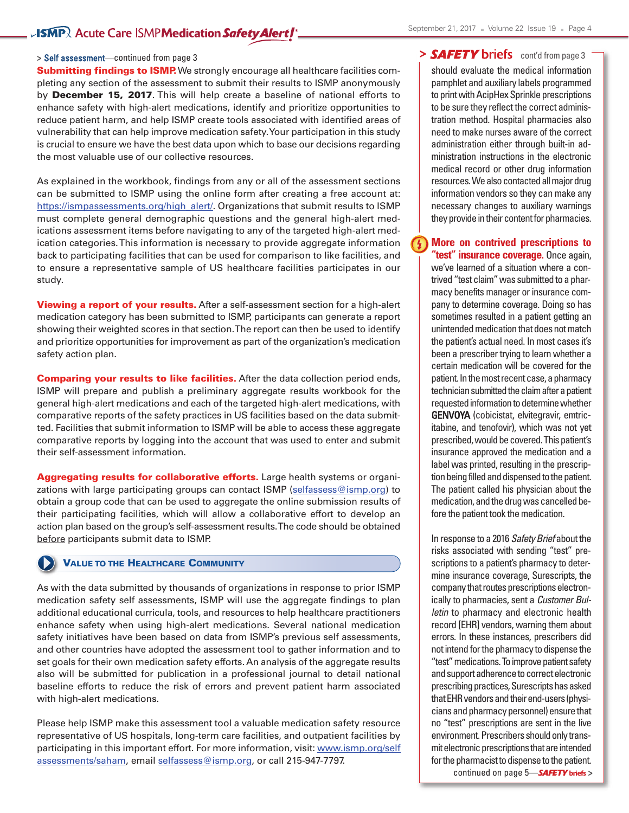# **JSMP** Acute Care ISMP Medication Safety Alertl'

#### **>** Self assessment—continued from page 3

**Submitting findings to ISMP.**We strongly encourage all healthcare facilities completing any section of the assessment to submit their results to ISMP anonymously by **December 15, 2017**. This will help create a baseline of national efforts to enhance safety with high-alert medications, identify and prioritize opportunities to reduce patient harm, and help ISMP create tools associated with identified areas of vulnerability that can help improve medication safety.Your participation in this study is crucial to ensure we have the best data upon which to base our decisions regarding the most valuable use of our collective resources.

As explained in the workbook, findings from any or all of the assessment sections can be submitted to ISMP using the online form after creating a free account at: https://ismpassessments.org/high\_alert/. Organizations that submit results to ISMP must complete general demographic questions and the general high-alert medications assessment items before navigating to any of the targeted high-alert medication categories.This information is necessary to provide aggregate information back to participating facilities that can be used for comparison to like facilities, and to ensure a representative sample of US healthcare facilities participates in our study.

**Viewing a report of your results.** After a self-assessment section for a high-alert medication category has been submitted to ISMP, participants can generate a report showing their weighted scores in that section.The report can then be used to identify and prioritize opportunities for improvement as part of the organization's medication safety action plan.

**Comparing your results to like facilities.** After the data collection period ends, ISMP will prepare and publish a preliminary aggregate results workbook for the general high-alert medications and each of the targeted high-alert medications, with comparative reports of the safety practices in US facilities based on the data submitted. Facilities that submit information to ISMP will be able to access these aggregate comparative reports by logging into the account that was used to enter and submit their self-assessment information.

**Aggregating results for collaborative efforts.** Large health systems or organizations with large participating groups can contact ISMP (selfassess@ismp.org) to obtain a group code that can be used to aggregate the online submission results of their participating facilities, which will allow a collaborative effort to develop an action plan based on the group's self-assessment results.The code should be obtained before participants submit data to ISMP.

#### **VALUE TO THE HEALTHCARE COMMUNITY**

As with the data submitted by thousands of organizations in response to prior ISMP medication safety self assessments, ISMP will use the aggregate findings to plan additional educational curricula, tools, and resources to help healthcare practitioners enhance safety when using high-alert medications. Several national medication safety initiatives have been based on data from ISMP's previous self assessments, and other countries have adopted the assessment tool to gather information and to set goals for their own medication safety efforts. An analysis of the aggregate results also will be submitted for publication in a professional journal to detail national baseline efforts to reduce the risk of errors and prevent patient harm associated with high-alert medications.

Please help ISMP make this assessment tool a valuable medication safety resource representative of US hospitals, long-term care facilities, and outpatient facilities by participating in this important effort. For more information, visit: [www.ismp.org/self](http://www.ismp.org/selfassessments/saham) [assessments/saham,](http://www.ismp.org/selfassessments/saham) email selfassess@ismp.org, or call 215-947-7797.

# > SAFETY briefs cont'd from page 3

should evaluate the medical information pamphlet and auxiliary labels programmed to print with AcipHex Sprinkle prescriptions to be sure they reflect the correct administration method. Hospital pharmacies also need to make nurses aware of the correct administration either through built-in administration instructions in the electronic medical record or other drug information resources. We also contacted all major drug information vendors so they can make any necessary changes to auxiliary warnings they provide in their content for pharmacies.

**More on contrived prescriptions to "test" insurance coverage.** Once again,

we've learned of a situation where a contrived "test claim" was submitted to a pharmacy benefits manager or insurance company to determine coverage. Doing so has sometimes resulted in a patient getting an unintended medication that does not match the patient's actual need. In most cases it's been a prescriber trying to learn whether a certain medication will be covered for the patient. In the most recent case, a pharmacy technician submitted the claim after a patient requested information to determine whether GENVOYA (cobicistat, elvitegravir, emtricitabine, and tenofovir), which was not yet prescribed, would be covered. This patient's insurance approved the medication and a label was printed, resulting in the prescription being filled and dispensed to the patient. The patient called his physician about the medication, and the drug was cancelled before the patient took the medication.

In response to a 2016 Safety Brief about the risks associated with sending "test" prescriptions to a patient's pharmacy to determine insurance coverage, Surescripts, the company that routes prescriptions electronically to pharmacies, sent a *Customer Bulletin* to pharmacy and electronic health record [EHR] vendors, warning them about errors. In these instances, prescribers did not intend for the pharmacy to dispense the "test" medications. To improve patient safety and support adherence to correct electronic prescribing practices, Surescripts has asked that EHR vendors and their end-users (physicians and pharmacy personnel) ensure that no "test" prescriptions are sent in the live environment. Prescribers should only transmit electronic prescriptions that are intended for the pharmacist to dispense to the patient. continued on page 5—*SAFETY* **briefs >**